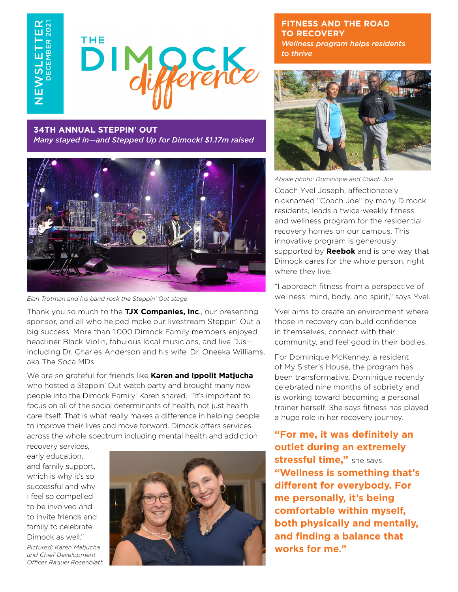NEWSLETTER DECEMBER 2021 ш ்ப  $\overline{\bm{v}}$ .<br>≧W



#### **34TH ANNUAL STEPPIN' OUT**

*Many stayed in—and Stepped Up for Dimock! \$1.17m raised*



*Elan Trotman and his band rock the Steppin' Out stage*

Thank you so much to the **TJX Companies, Inc**., our presenting sponsor, and all who helped make our livestream Steppin' Out a big success. More than 1,000 Dimock Family members enjoyed headliner Black Violin, fabulous local musicians, and live DJs including Dr. Charles Anderson and his wife, Dr. Oneeka Williams, aka The Soca MDs.

We are so grateful for friends like **Karen and Ippolit Matjucha** who hosted a Steppin' Out watch party and brought many new people into the Dimock Family! Karen shared, "It's important to focus on all of the social determinants of health, not just health care itself. That is what really makes a difference in helping people to improve their lives and move forward. Dimock offers services across the whole spectrum including mental health and addiction

recovery services, early education, and family support, which is why it's so successful and why I feel so compelled to be involved and to invite friends and family to celebrate Dimock as well." *Pictured: Karen Matjucha and Chief Development Officer Raquel Rosenblatt*



**FITNESS AND THE ROAD TO RECOVERY** *Wellness program helps residents to thrive*



*Above photo: Dominique and Coach Joe*

Coach Yvel Joseph, affectionately nicknamed "Coach Joe" by many Dimock residents, leads a twice-weekly fitness and wellness program for the residential recovery homes on our campus. This innovative program is generously supported by **Reebok** and is one way that Dimock cares for the whole person, right where they live.

"I approach fitness from a perspective of wellness: mind, body, and spirit," says Yvel.

Yvel aims to create an environment where those in recovery can build confidence in themselves, connect with their community, and feel good in their bodies.

For Dominique McKenney, a resident of My Sister's House, the program has been transformative. Dominique recently celebrated nine months of sobriety and is working toward becoming a personal trainer herself. She says fitness has played a huge role in her recovery journey.

**"For me, it was definitely an outlet during an extremely stressful time,"** she says. **"Wellness is something that's different for everybody. For me personally, it's being comfortable within myself, both physically and mentally, and finding a balance that works for me."**